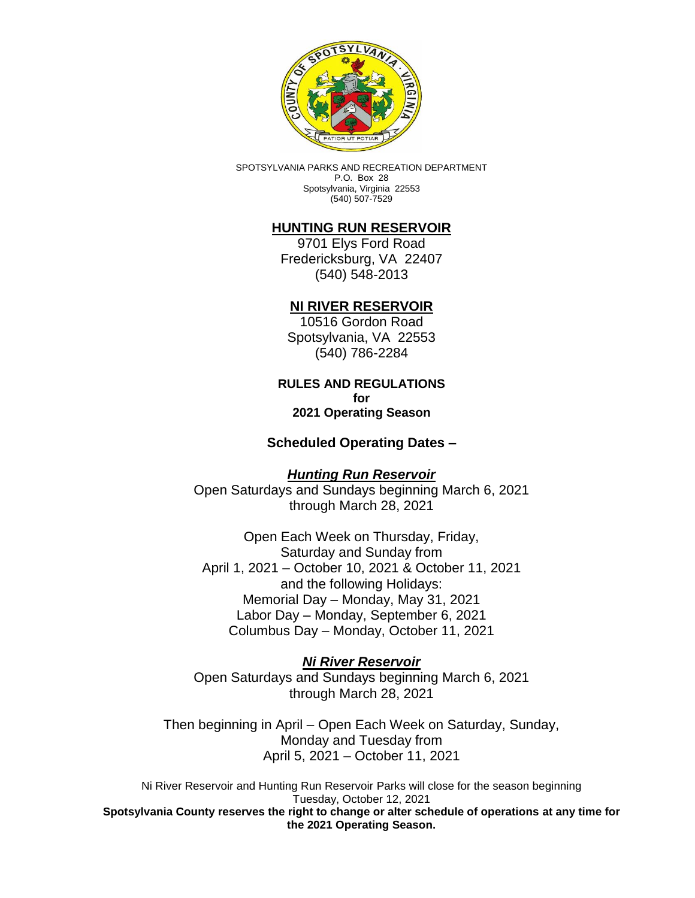

SPOTSYLVANIA PARKS AND RECREATION DEPARTMENT P.O. Box 28 Spotsylvania, Virginia 22553 (540) 507-7529

# **HUNTING RUN RESERVOIR**

9701 Elys Ford Road Fredericksburg, VA 22407 (540) 548-2013

## **NI RIVER RESERVOIR**

10516 Gordon Road Spotsylvania, VA 22553 (540) 786-2284

#### **RULES AND REGULATIONS for 2021 Operating Season**

**Scheduled Operating Dates –**

*Hunting Run Reservoir*  Open Saturdays and Sundays beginning March 6, 2021 through March 28, 2021

Open Each Week on Thursday, Friday, Saturday and Sunday from April 1, 2021 – October 10, 2021 & October 11, 2021 and the following Holidays: Memorial Day – Monday, May 31, 2021 Labor Day – Monday, September 6, 2021 Columbus Day – Monday, October 11, 2021

*Ni River Reservoir* Open Saturdays and Sundays beginning March 6, 2021 through March 28, 2021

Then beginning in April – Open Each Week on Saturday, Sunday, Monday and Tuesday from April 5, 2021 – October 11, 2021

Ni River Reservoir and Hunting Run Reservoir Parks will close for the season beginning Tuesday, October 12, 2021 **Spotsylvania County reserves the right to change or alter schedule of operations at any time for the 2021 Operating Season.**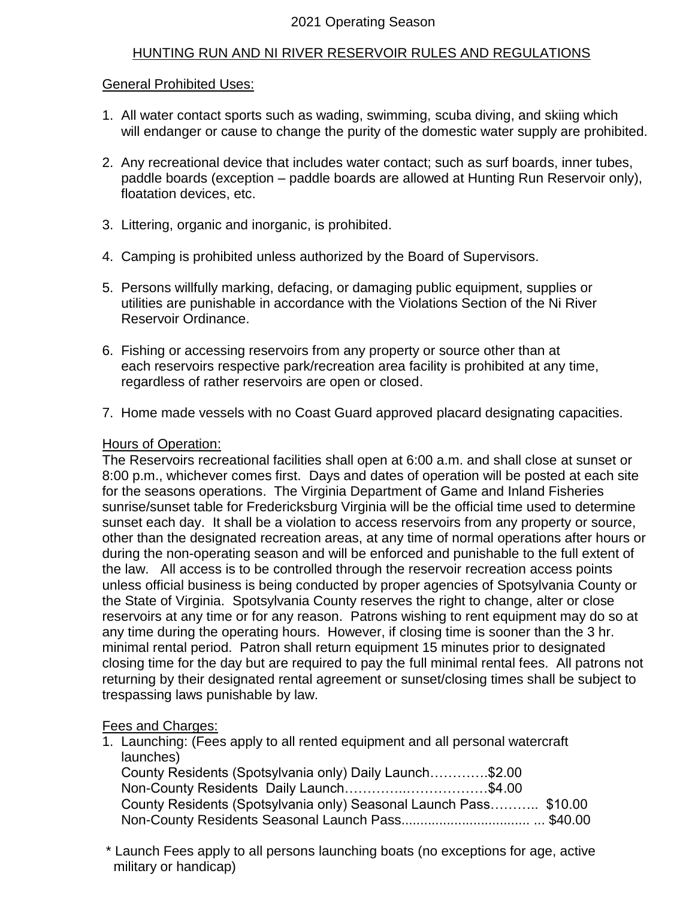# 2021 Operating Season

## HUNTING RUN AND NI RIVER RESERVOIR RULES AND REGULATIONS

#### General Prohibited Uses:

- 1. All water contact sports such as wading, swimming, scuba diving, and skiing which will endanger or cause to change the purity of the domestic water supply are prohibited.
- 2. Any recreational device that includes water contact; such as surf boards, inner tubes, paddle boards (exception – paddle boards are allowed at Hunting Run Reservoir only), floatation devices, etc.
- 3. Littering, organic and inorganic, is prohibited.
- 4. Camping is prohibited unless authorized by the Board of Supervisors.
- 5. Persons willfully marking, defacing, or damaging public equipment, supplies or utilities are punishable in accordance with the Violations Section of the Ni River Reservoir Ordinance.
- 6. Fishing or accessing reservoirs from any property or source other than at each reservoirs respective park/recreation area facility is prohibited at any time, regardless of rather reservoirs are open or closed.
- 7. Home made vessels with no Coast Guard approved placard designating capacities.

#### Hours of Operation:

The Reservoirs recreational facilities shall open at 6:00 a.m. and shall close at sunset or 8:00 p.m., whichever comes first. Days and dates of operation will be posted at each site for the seasons operations. The Virginia Department of Game and Inland Fisheries sunrise/sunset table for Fredericksburg Virginia will be the official time used to determine sunset each day. It shall be a violation to access reservoirs from any property or source, other than the designated recreation areas, at any time of normal operations after hours or during the non-operating season and will be enforced and punishable to the full extent of the law. All access is to be controlled through the reservoir recreation access points unless official business is being conducted by proper agencies of Spotsylvania County or the State of Virginia. Spotsylvania County reserves the right to change, alter or close reservoirs at any time or for any reason. Patrons wishing to rent equipment may do so at any time during the operating hours. However, if closing time is sooner than the 3 hr. minimal rental period. Patron shall return equipment 15 minutes prior to designated closing time for the day but are required to pay the full minimal rental fees. All patrons not returning by their designated rental agreement or sunset/closing times shall be subject to trespassing laws punishable by law.

## Fees and Charges:

- 1. Launching: (Fees apply to all rented equipment and all personal watercraft launches) County Residents (Spotsylvania only) Daily Launch………….\$2.00 Non-County Residents Daily Launch…………..………………\$4.00 County Residents (Spotsylvania only) Seasonal Launch Pass……….. \$10.00 Non-County Residents Seasonal Launch Pass.................................. ... \$40.00
- \* Launch Fees apply to all persons launching boats (no exceptions for age, active military or handicap)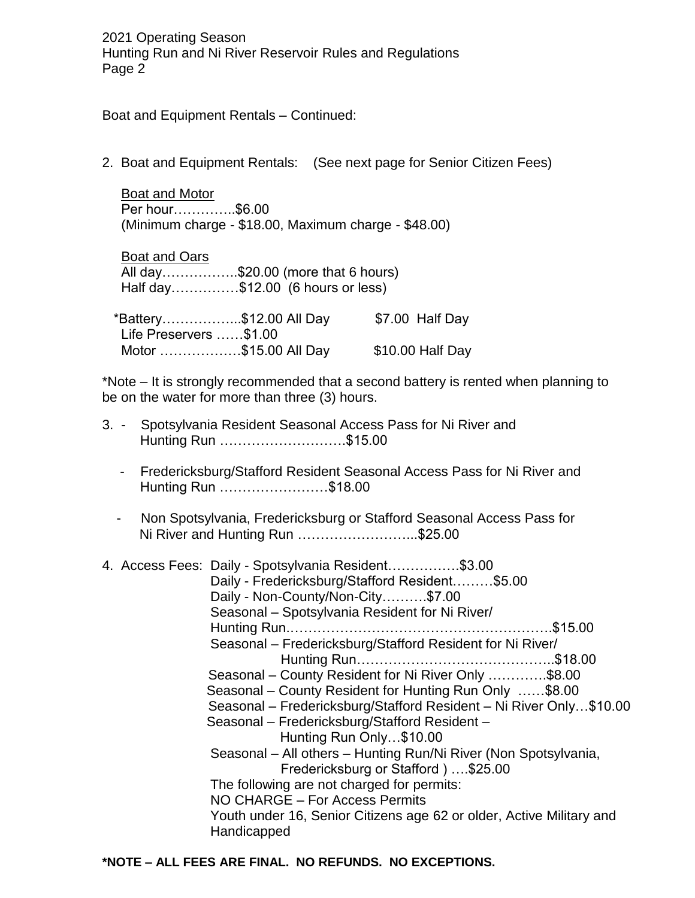Boat and Equipment Rentals – Continued:

2. Boat and Equipment Rentals: (See next page for Senior Citizen Fees)

 Boat and Motor Per hour…………..\$6.00 (Minimum charge - \$18.00, Maximum charge - \$48.00)

 Boat and Oars All day……………..\$20.00 (more that 6 hours) Half day……………\$12.00 (6 hours or less)

|                        | *Battery\$12.00 All Day | \$7.00 Half Day  |
|------------------------|-------------------------|------------------|
| Life Preservers \$1.00 |                         |                  |
|                        | Motor \$15.00 All Day   | \$10.00 Half Day |

\*Note – It is strongly recommended that a second battery is rented when planning to be on the water for more than three (3) hours.

|  | 3. - Spotsylvania Resident Seasonal Access Pass for Ni River and |  |  |
|--|------------------------------------------------------------------|--|--|
|  | Hunting Run \$15.00                                              |  |  |

- Fredericksburg/Stafford Resident Seasonal Access Pass for Ni River and Hunting Run ……………………\$18.00
- Non Spotsylvania, Fredericksburg or Stafford Seasonal Access Pass for Ni River and Hunting Run ……………………...\$25.00

|  | 4. Access Fees: Daily - Spotsylvania Resident\$3.00<br>Daily - Fredericksburg/Stafford Resident\$5.00<br>Daily - Non-County/Non-City\$7.00<br>Seasonal - Spotsylvania Resident for Ni River/<br>Seasonal - Fredericksburg/Stafford Resident for Ni River/<br>Seasonal – County Resident for Ni River Only \$8.00<br>Seasonal – County Resident for Hunting Run Only \$8.00<br>Seasonal – Fredericksburg/Stafford Resident – Ni River Only\$10.00<br>Seasonal - Fredericksburg/Stafford Resident -<br>Hunting Run Only\$10.00<br>Seasonal - All others - Hunting Run/Ni River (Non Spotsylvania,<br>Fredericksburg or Stafford )  \$25.00<br>The following are not charged for permits:<br>NO CHARGE – For Access Permits<br>Youth under 16, Senior Citizens age 62 or older, Active Military and |  |
|--|--------------------------------------------------------------------------------------------------------------------------------------------------------------------------------------------------------------------------------------------------------------------------------------------------------------------------------------------------------------------------------------------------------------------------------------------------------------------------------------------------------------------------------------------------------------------------------------------------------------------------------------------------------------------------------------------------------------------------------------------------------------------------------------------------|--|
|  | Handicapped                                                                                                                                                                                                                                                                                                                                                                                                                                                                                                                                                                                                                                                                                                                                                                                      |  |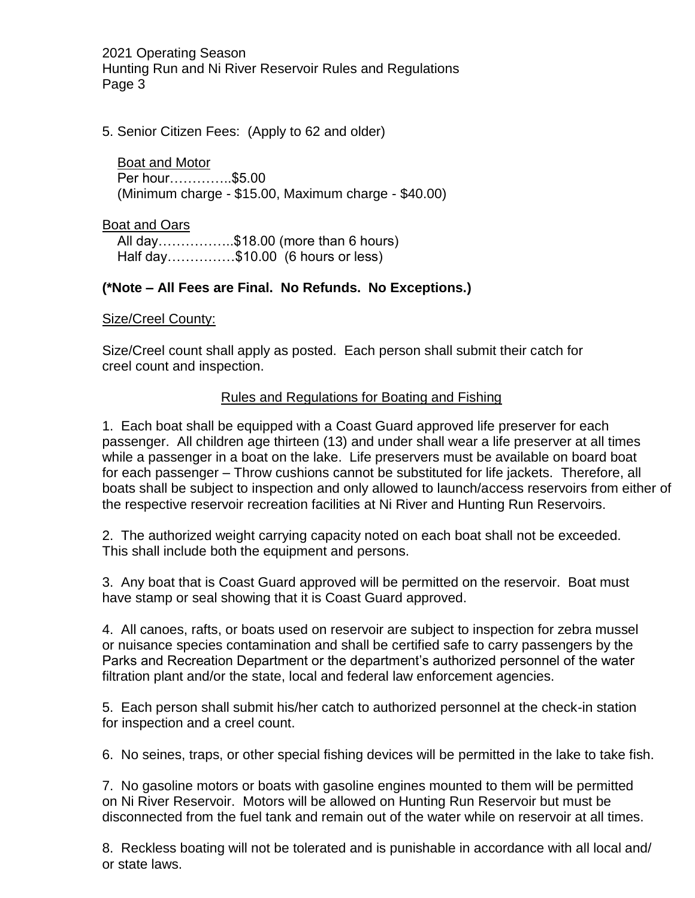5. Senior Citizen Fees: (Apply to 62 and older)

 Boat and Motor Per hour…………..\$5.00 (Minimum charge - \$15.00, Maximum charge - \$40.00)

Boat and Oars

 All day……………..\$18.00 (more than 6 hours) Half day……………\$10.00 (6 hours or less)

# **(\*Note – All Fees are Final. No Refunds. No Exceptions.)**

## Size/Creel County:

Size/Creel count shall apply as posted. Each person shall submit their catch for creel count and inspection.

## Rules and Regulations for Boating and Fishing

1. Each boat shall be equipped with a Coast Guard approved life preserver for each passenger. All children age thirteen (13) and under shall wear a life preserver at all times while a passenger in a boat on the lake. Life preservers must be available on board boat for each passenger – Throw cushions cannot be substituted for life jackets. Therefore, all boats shall be subject to inspection and only allowed to launch/access reservoirs from either of the respective reservoir recreation facilities at Ni River and Hunting Run Reservoirs.

2. The authorized weight carrying capacity noted on each boat shall not be exceeded. This shall include both the equipment and persons.

3. Any boat that is Coast Guard approved will be permitted on the reservoir. Boat must have stamp or seal showing that it is Coast Guard approved.

4. All canoes, rafts, or boats used on reservoir are subject to inspection for zebra mussel or nuisance species contamination and shall be certified safe to carry passengers by the Parks and Recreation Department or the department's authorized personnel of the water filtration plant and/or the state, local and federal law enforcement agencies.

5. Each person shall submit his/her catch to authorized personnel at the check-in station for inspection and a creel count.

6. No seines, traps, or other special fishing devices will be permitted in the lake to take fish.

7. No gasoline motors or boats with gasoline engines mounted to them will be permitted on Ni River Reservoir. Motors will be allowed on Hunting Run Reservoir but must be disconnected from the fuel tank and remain out of the water while on reservoir at all times.

8. Reckless boating will not be tolerated and is punishable in accordance with all local and/ or state laws.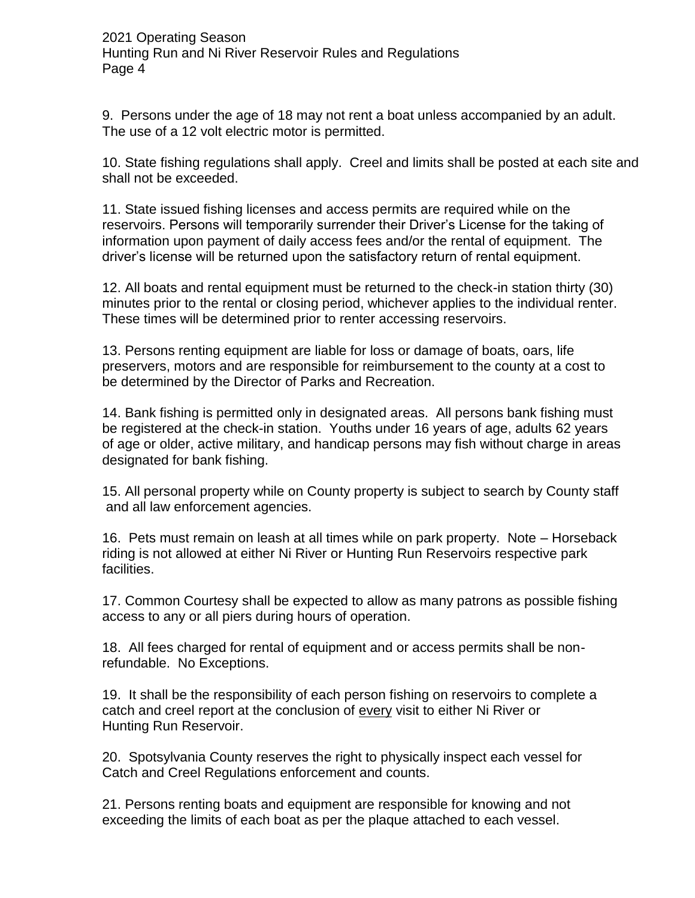9. Persons under the age of 18 may not rent a boat unless accompanied by an adult. The use of a 12 volt electric motor is permitted.

10. State fishing regulations shall apply. Creel and limits shall be posted at each site and shall not be exceeded.

11. State issued fishing licenses and access permits are required while on the reservoirs. Persons will temporarily surrender their Driver's License for the taking of information upon payment of daily access fees and/or the rental of equipment. The driver's license will be returned upon the satisfactory return of rental equipment.

12. All boats and rental equipment must be returned to the check-in station thirty (30) minutes prior to the rental or closing period, whichever applies to the individual renter. These times will be determined prior to renter accessing reservoirs.

13. Persons renting equipment are liable for loss or damage of boats, oars, life preservers, motors and are responsible for reimbursement to the county at a cost to be determined by the Director of Parks and Recreation.

14. Bank fishing is permitted only in designated areas. All persons bank fishing must be registered at the check-in station. Youths under 16 years of age, adults 62 years of age or older, active military, and handicap persons may fish without charge in areas designated for bank fishing.

15. All personal property while on County property is subject to search by County staff and all law enforcement agencies.

16. Pets must remain on leash at all times while on park property. Note – Horseback riding is not allowed at either Ni River or Hunting Run Reservoirs respective park facilities.

17. Common Courtesy shall be expected to allow as many patrons as possible fishing access to any or all piers during hours of operation.

18. All fees charged for rental of equipment and or access permits shall be nonrefundable. No Exceptions.

19. It shall be the responsibility of each person fishing on reservoirs to complete a catch and creel report at the conclusion of every visit to either Ni River or Hunting Run Reservoir.

20. Spotsylvania County reserves the right to physically inspect each vessel for Catch and Creel Regulations enforcement and counts.

21. Persons renting boats and equipment are responsible for knowing and not exceeding the limits of each boat as per the plaque attached to each vessel.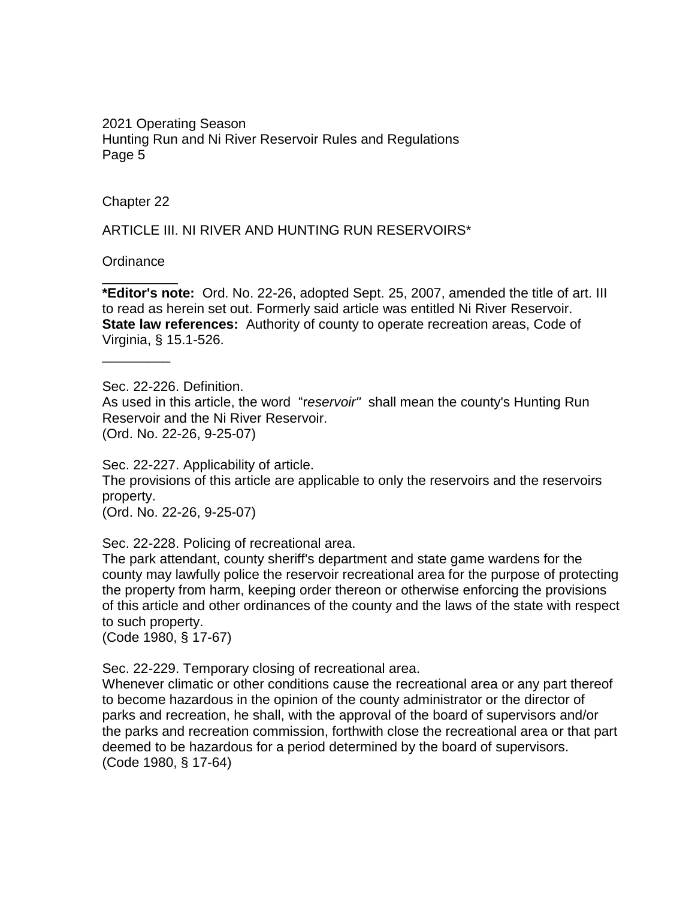Chapter 22

ARTICLE III. NI RIVER AND HUNTING RUN RESERVOIRS\*

**Ordinance** \_\_\_\_\_\_\_\_\_\_

**\*Editor's note:** Ord. No. 22-26, adopted Sept. 25, 2007, amended the title of art. III to read as herein set out. Formerly said article was entitled Ni River Reservoir. **State law references:** Authority of county to operate recreation areas, Code of Virginia, § 15.1-526.

\_\_\_\_\_\_\_\_\_

Sec. 22-226. Definition. As used in this article, the word "r*eservoir"* shall mean the county's Hunting Run Reservoir and the Ni River Reservoir. (Ord. No. 22-26, 9-25-07)

Sec. 22-227. Applicability of article. The provisions of this article are applicable to only the reservoirs and the reservoirs property. (Ord. No. 22-26, 9-25-07)

Sec. 22-228. Policing of recreational area.

The park attendant, county sheriff's department and state game wardens for the county may lawfully police the reservoir recreational area for the purpose of protecting the property from harm, keeping order thereon or otherwise enforcing the provisions of this article and other ordinances of the county and the laws of the state with respect to such property.

(Code 1980, § 17-67)

Sec. 22-229. Temporary closing of recreational area.

Whenever climatic or other conditions cause the recreational area or any part thereof to become hazardous in the opinion of the county administrator or the director of parks and recreation, he shall, with the approval of the board of supervisors and/or the parks and recreation commission, forthwith close the recreational area or that part deemed to be hazardous for a period determined by the board of supervisors. (Code 1980, § 17-64)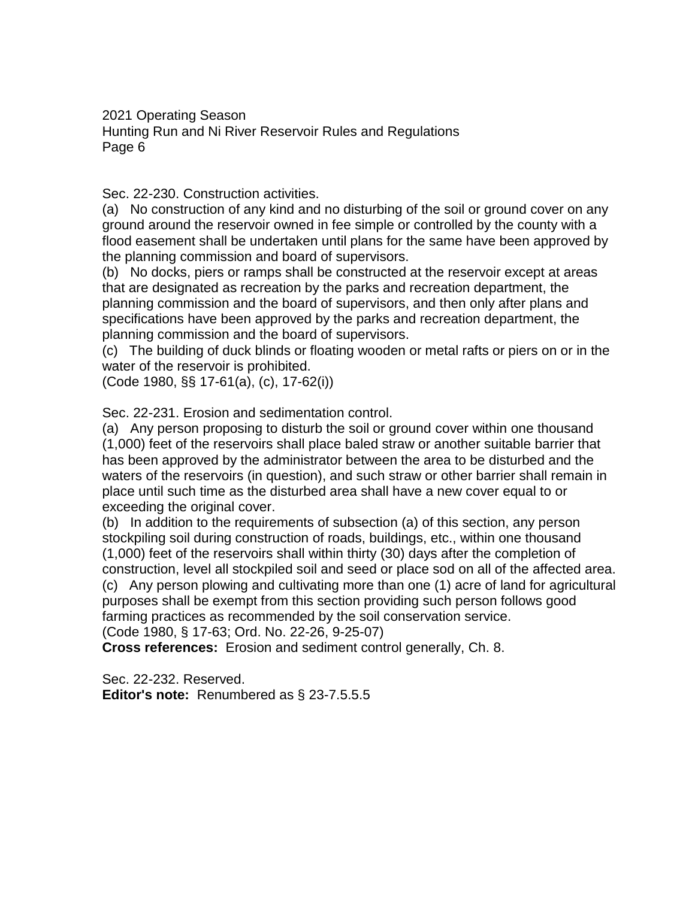## Sec. 22-230. Construction activities.

(a) No construction of any kind and no disturbing of the soil or ground cover on any ground around the reservoir owned in fee simple or controlled by the county with a flood easement shall be undertaken until plans for the same have been approved by the planning commission and board of supervisors.

(b) No docks, piers or ramps shall be constructed at the reservoir except at areas that are designated as recreation by the parks and recreation department, the planning commission and the board of supervisors, and then only after plans and specifications have been approved by the parks and recreation department, the planning commission and the board of supervisors.

(c) The building of duck blinds or floating wooden or metal rafts or piers on or in the water of the reservoir is prohibited.

(Code 1980, §§ 17-61(a), (c), 17-62(i))

Sec. 22-231. Erosion and sedimentation control.

(a) Any person proposing to disturb the soil or ground cover within one thousand (1,000) feet of the reservoirs shall place baled straw or another suitable barrier that has been approved by the administrator between the area to be disturbed and the waters of the reservoirs (in question), and such straw or other barrier shall remain in place until such time as the disturbed area shall have a new cover equal to or exceeding the original cover.

(b) In addition to the requirements of subsection (a) of this section, any person stockpiling soil during construction of roads, buildings, etc., within one thousand (1,000) feet of the reservoirs shall within thirty (30) days after the completion of construction, level all stockpiled soil and seed or place sod on all of the affected area. (c) Any person plowing and cultivating more than one (1) acre of land for agricultural purposes shall be exempt from this section providing such person follows good farming practices as recommended by the soil conservation service.

(Code 1980, § 17-63; Ord. No. 22-26, 9-25-07)

**Cross references:** Erosion and sediment control generally, Ch. 8.

Sec. 22-232. Reserved. **Editor's note:** Renumbered as § 23-7.5.5.5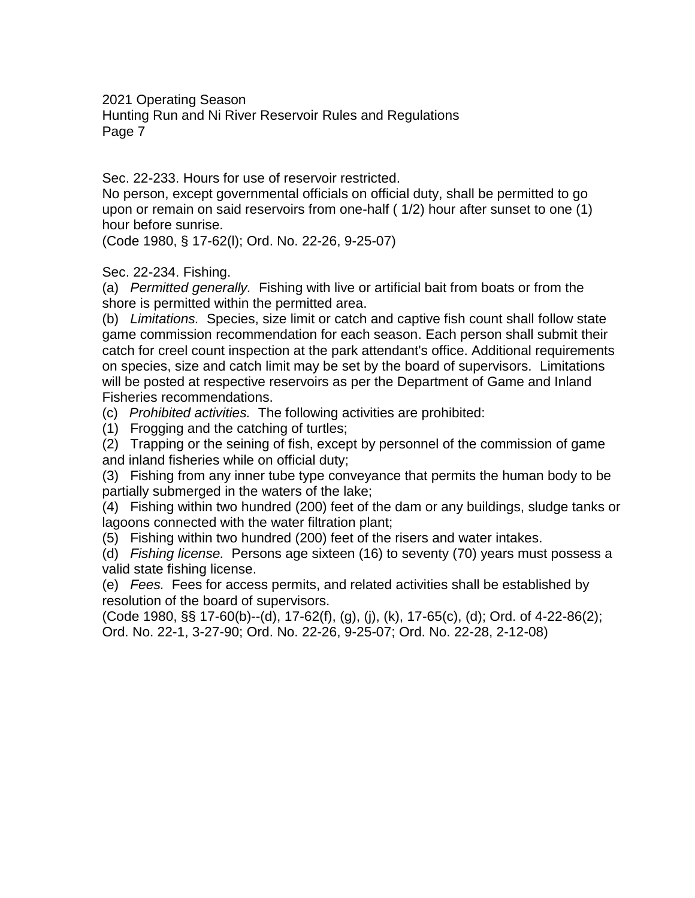2021 Operating Season

Hunting Run and Ni River Reservoir Rules and Regulations Page 7

Sec. 22-233. Hours for use of reservoir restricted.

No person, except governmental officials on official duty, shall be permitted to go upon or remain on said reservoirs from one-half ( 1/2) hour after sunset to one (1) hour before sunrise.

(Code 1980, § 17-62(l); Ord. No. 22-26, 9-25-07)

Sec. 22-234. Fishing.

(a) *Permitted generally.* Fishing with live or artificial bait from boats or from the shore is permitted within the permitted area.

(b) *Limitations.* Species, size limit or catch and captive fish count shall follow state game commission recommendation for each season. Each person shall submit their catch for creel count inspection at the park attendant's office. Additional requirements on species, size and catch limit may be set by the board of supervisors. Limitations will be posted at respective reservoirs as per the Department of Game and Inland Fisheries recommendations.

(c) *Prohibited activities.* The following activities are prohibited:

(1) Frogging and the catching of turtles;

(2) Trapping or the seining of fish, except by personnel of the commission of game and inland fisheries while on official duty;

(3) Fishing from any inner tube type conveyance that permits the human body to be partially submerged in the waters of the lake;

(4) Fishing within two hundred (200) feet of the dam or any buildings, sludge tanks or lagoons connected with the water filtration plant;

(5) Fishing within two hundred (200) feet of the risers and water intakes.

(d) *Fishing license.* Persons age sixteen (16) to seventy (70) years must possess a valid state fishing license.

(e) *Fees.* Fees for access permits, and related activities shall be established by resolution of the board of supervisors.

(Code 1980, §§ 17-60(b)--(d), 17-62(f), (g), (j), (k), 17-65(c), (d); Ord. of 4-22-86(2); Ord. No. 22-1, 3-27-90; Ord. No. 22-26, 9-25-07; Ord. No. 22-28, 2-12-08)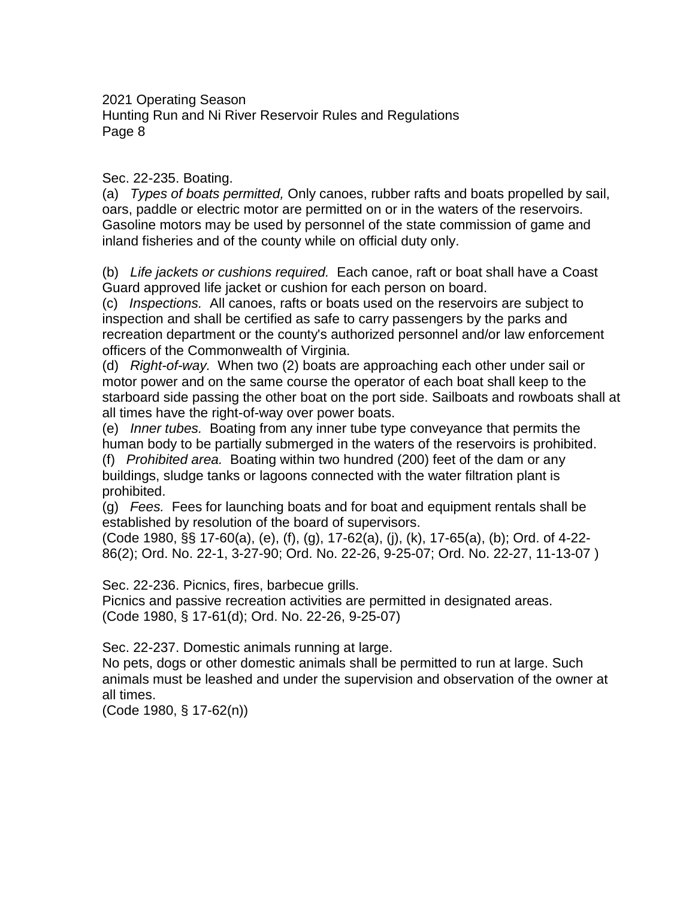## Sec. 22-235. Boating.

(a) *Types of boats permitted,* Only canoes, rubber rafts and boats propelled by sail, oars, paddle or electric motor are permitted on or in the waters of the reservoirs. Gasoline motors may be used by personnel of the state commission of game and inland fisheries and of the county while on official duty only.

(b) *Life jackets or cushions required.* Each canoe, raft or boat shall have a Coast Guard approved life jacket or cushion for each person on board.

(c) *Inspections.* All canoes, rafts or boats used on the reservoirs are subject to inspection and shall be certified as safe to carry passengers by the parks and recreation department or the county's authorized personnel and/or law enforcement officers of the Commonwealth of Virginia.

(d) *Right-of-way.* When two (2) boats are approaching each other under sail or motor power and on the same course the operator of each boat shall keep to the starboard side passing the other boat on the port side. Sailboats and rowboats shall at all times have the right-of-way over power boats.

(e) *Inner tubes.* Boating from any inner tube type conveyance that permits the human body to be partially submerged in the waters of the reservoirs is prohibited.

(f) *Prohibited area.* Boating within two hundred (200) feet of the dam or any buildings, sludge tanks or lagoons connected with the water filtration plant is prohibited.

(g) *Fees.* Fees for launching boats and for boat and equipment rentals shall be established by resolution of the board of supervisors.

(Code 1980, §§ 17-60(a), (e), (f), (g), 17-62(a), (j), (k), 17-65(a), (b); Ord. of 4-22- 86(2); Ord. No. 22-1, 3-27-90; Ord. No. 22-26, 9-25-07; Ord. No. 22-27, 11-13-07 )

Sec. 22-236. Picnics, fires, barbecue grills.

Picnics and passive recreation activities are permitted in designated areas. (Code 1980, § 17-61(d); Ord. No. 22-26, 9-25-07)

Sec. 22-237. Domestic animals running at large.

No pets, dogs or other domestic animals shall be permitted to run at large. Such animals must be leashed and under the supervision and observation of the owner at all times.

(Code 1980, § 17-62(n))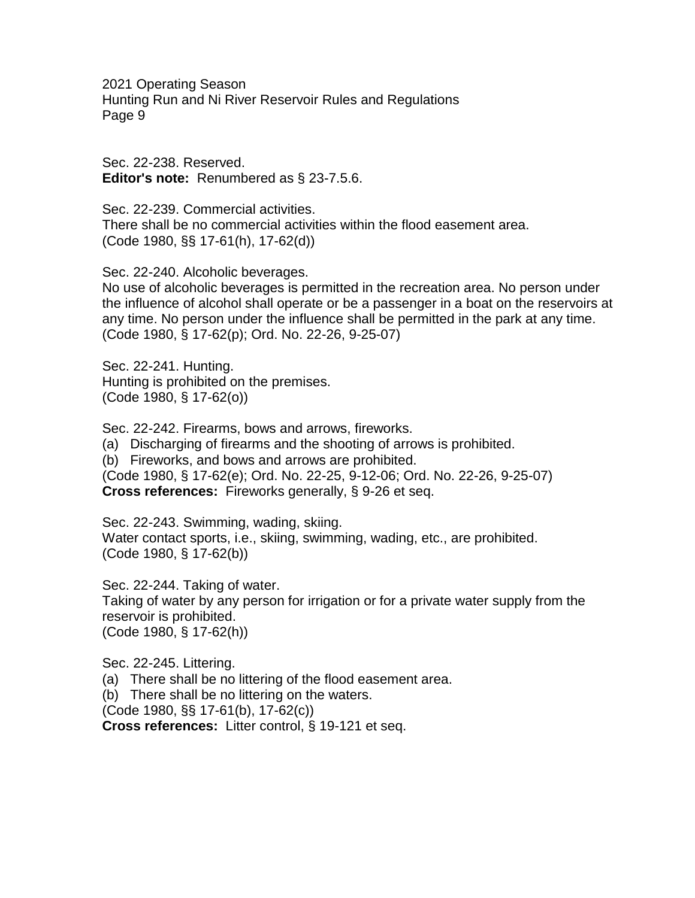Sec. 22-238. Reserved. **Editor's note:** Renumbered as § 23-7.5.6.

Sec. 22-239. Commercial activities. There shall be no commercial activities within the flood easement area. (Code 1980, §§ 17-61(h), 17-62(d))

Sec. 22-240. Alcoholic beverages.

No use of alcoholic beverages is permitted in the recreation area. No person under the influence of alcohol shall operate or be a passenger in a boat on the reservoirs at any time. No person under the influence shall be permitted in the park at any time. (Code 1980, § 17-62(p); Ord. No. 22-26, 9-25-07)

Sec. 22-241. Hunting. Hunting is prohibited on the premises. (Code 1980, § 17-62(o))

Sec. 22-242. Firearms, bows and arrows, fireworks. (a) Discharging of firearms and the shooting of arrows is prohibited. (b) Fireworks, and bows and arrows are prohibited. (Code 1980, § 17-62(e); Ord. No. 22-25, 9-12-06; Ord. No. 22-26, 9-25-07) **Cross references:** Fireworks generally, § 9-26 et seq.

Sec. 22-243. Swimming, wading, skiing. Water contact sports, i.e., skiing, swimming, wading, etc., are prohibited. (Code 1980, § 17-62(b))

Sec. 22-244. Taking of water. Taking of water by any person for irrigation or for a private water supply from the reservoir is prohibited. (Code 1980, § 17-62(h))

Sec. 22-245. Littering. (a) There shall be no littering of the flood easement area. (b) There shall be no littering on the waters. (Code 1980, §§ 17-61(b), 17-62(c)) **Cross references:** Litter control, § 19-121 et seq.